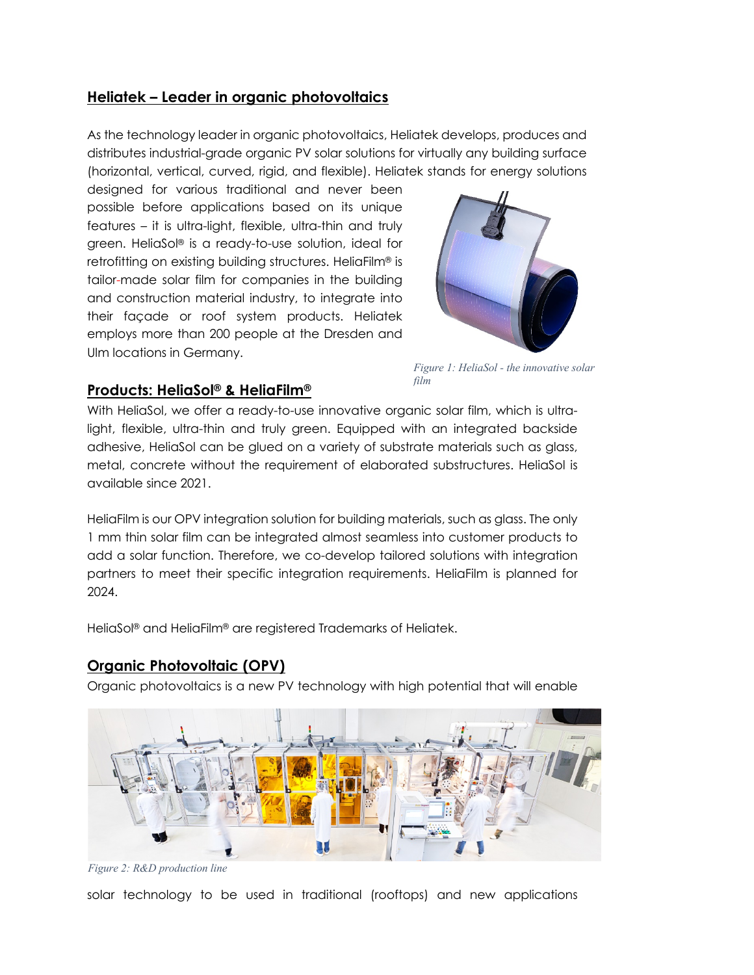#### **Heliatek – Leader in organic photovoltaics**

As the technology leader in organic photovoltaics, Heliatek develops, produces and distributes industrial-grade organic PV solar solutions for virtually any building surface (horizontal, vertical, curved, rigid, and flexible). Heliatek stands for energy solutions

designed for various traditional and never been possible before applications based on its unique features – it is ultra-light, flexible, ultra-thin and truly green. HeliaSol® is a ready-to-use solution, ideal for retrofitting on existing building structures. HeliaFilm® is tailor-made solar film for companies in the building and construction material industry, to integrate into their façade or roof system products. Heliatek employs more than 200 people at the Dresden and Ulm locations in Germany.



*Figure 1: HeliaSol - the innovative solar film*

# **Products: HeliaSol® & HeliaFilm®**

With HeliaSol, we offer a ready-to-use innovative organic solar film, which is ultralight, flexible, ultra-thin and truly green. Equipped with an integrated backside adhesive, HeliaSol can be glued on a variety of substrate materials such as glass, metal, concrete without the requirement of elaborated substructures. HeliaSol is available since 2021.

HeliaFilm is our OPV integration solution for building materials, such as glass. The only 1 mm thin solar film can be integrated almost seamless into customer products to add a solar function. Therefore, we co-develop tailored solutions with integration partners to meet their specific integration requirements. HeliaFilm is planned for 2024.

HeliaSol® and HeliaFilm® are registered Trademarks of Heliatek.

## **Organic Photovoltaic (OPV)**

Organic photovoltaics is a new PV technology with high potential that will enable



*Figure 2: R&D production line*

solar technology to be used in traditional (rooftops) and new applications